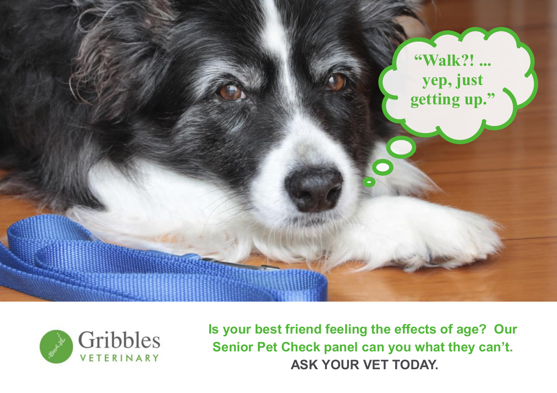



**Is your best friend feeling the effects of age? Our Senior Pet Check panel can you what they can't. ASK YOUR VET TODAY.**